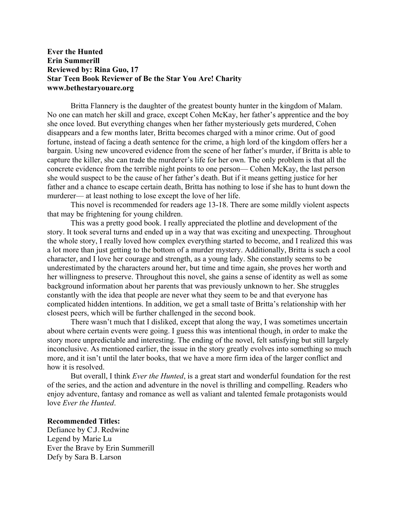## **Ever the Hunted Erin Summerill Reviewed by: Rina Guo, 17 Star Teen Book Reviewer of Be the Star You Are! Charity www.bethestaryouare.org**

Britta Flannery is the daughter of the greatest bounty hunter in the kingdom of Malam. No one can match her skill and grace, except Cohen McKay, her father's apprentice and the boy she once loved. But everything changes when her father mysteriously gets murdered, Cohen disappears and a few months later, Britta becomes charged with a minor crime. Out of good fortune, instead of facing a death sentence for the crime, a high lord of the kingdom offers her a bargain. Using new uncovered evidence from the scene of her father's murder, if Britta is able to capture the killer, she can trade the murderer's life for her own. The only problem is that all the concrete evidence from the terrible night points to one person— Cohen McKay, the last person she would suspect to be the cause of her father's death. But if it means getting justice for her father and a chance to escape certain death, Britta has nothing to lose if she has to hunt down the murderer— at least nothing to lose except the love of her life.

This novel is recommended for readers age 13-18. There are some mildly violent aspects that may be frightening for young children.

This was a pretty good book. I really appreciated the plotline and development of the story. It took several turns and ended up in a way that was exciting and unexpecting. Throughout the whole story, I really loved how complex everything started to become, and I realized this was a lot more than just getting to the bottom of a murder mystery. Additionally, Britta is such a cool character, and I love her courage and strength, as a young lady. She constantly seems to be underestimated by the characters around her, but time and time again, she proves her worth and her willingness to preserve. Throughout this novel, she gains a sense of identity as well as some background information about her parents that was previously unknown to her. She struggles constantly with the idea that people are never what they seem to be and that everyone has complicated hidden intentions. In addition, we get a small taste of Britta's relationship with her closest peers, which will be further challenged in the second book.

There wasn't much that I disliked, except that along the way, I was sometimes uncertain about where certain events were going. I guess this was intentional though, in order to make the story more unpredictable and interesting. The ending of the novel, felt satisfying but still largely inconclusive. As mentioned earlier, the issue in the story greatly evolves into something so much more, and it isn't until the later books, that we have a more firm idea of the larger conflict and how it is resolved.

But overall, I think *Ever the Hunted*, is a great start and wonderful foundation for the rest of the series, and the action and adventure in the novel is thrilling and compelling. Readers who enjoy adventure, fantasy and romance as well as valiant and talented female protagonists would love *Ever the Hunted*.

## **Recommended Titles:**

Defiance by C.J. Redwine Legend by Marie Lu Ever the Brave by Erin Summerill Defy by Sara B. Larson